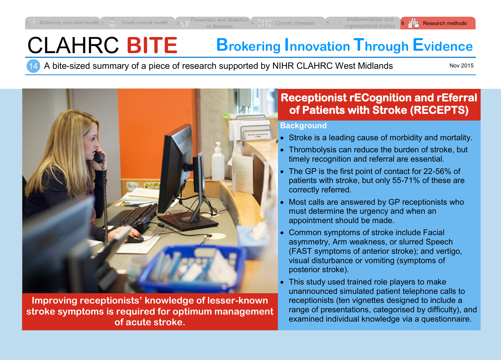# CLAHRC **BITE Brokering Innovation Through Evidence**

14 A bite-sized summary of a piece of research supported by NIHR CLAHRC West Midlands

Nov 2015



**Improving receptionists' knowledge of lesser-known stroke symptoms is required for optimum management of acute stroke.**

# **Receptionist rECognition and rEferral of Patients with Stroke (RECEPTS)**

#### **Background**

- Stroke is a leading cause of morbidity and mortality.
- Thrombolysis can reduce the burden of stroke, but timely recognition and referral are essential.
- The GP is the first point of contact for 22-56% of patients with stroke, but only 55-71% of these are correctly referred.
- Most calls are answered by GP receptionists who must determine the urgency and when an appointment should be made.
- Common symptoms of stroke include Facial asymmetry, Arm weakness, or slurred Speech (FAST symptoms of anterior stroke); and vertigo, visual disturbance or vomiting (symptoms of posterior stroke).
- This study used trained role players to make unannounced simulated patient telephone calls to receptionists (ten vignettes designed to include a range of presentations, categorised by difficulty), and examined individual knowledge via a questionnaire.